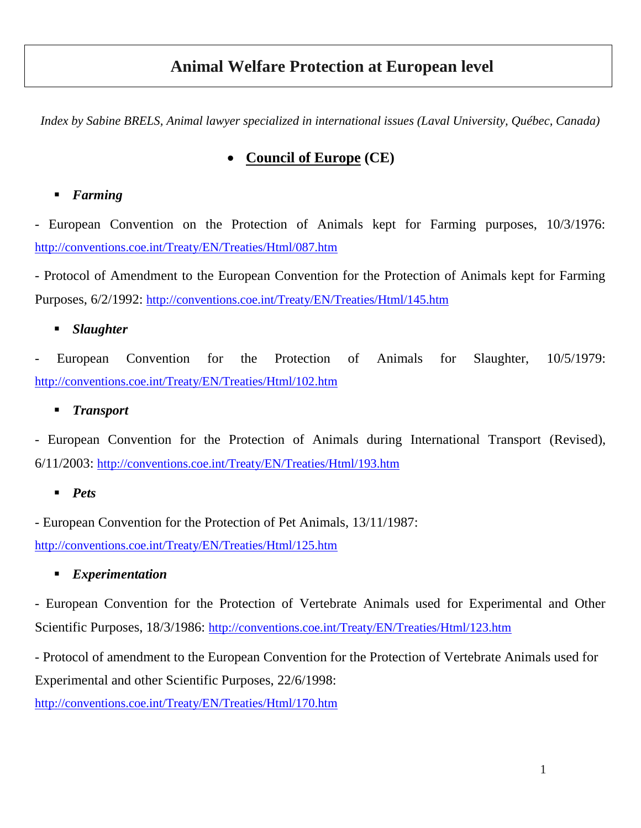# **Animal Welfare Protection at European level**

*Index by Sabine BRELS, Animal lawyer specialized in international issues (Laval University, Québec, Canada)*

## **Council of Europe (CE)**

### *Farming*

European Convention on the Protection of Animals kept for Farming purposes,  $10/3/1976$ : <http://conventions.coe.int/Treaty/EN/Treaties/Html/087.htm>

- Protocol of Amendment to the European Convention for the Protection of Animals kept for Farming Purposes, 6/2/1992: <http://conventions.coe.int/Treaty/EN/Treaties/Html/145.htm>

### *Slaughter*

- European Convention for the Protection of Animals for Slaughter, 10/5/1979: <http://conventions.coe.int/Treaty/EN/Treaties/Html/102.htm>

### *Transport*

- European Convention for the Protection of Animals during International Transport (Revised), 6/11/2003: <http://conventions.coe.int/Treaty/EN/Treaties/Html/193.htm>

#### *Pets*

- European Convention for the Protection of Pet Animals, 13/11/1987:

<http://conventions.coe.int/Treaty/EN/Treaties/Html/125.htm>

#### *Experimentation*

- European Convention for the Protection of Vertebrate Animals used for Experimental and Other Scientific Purposes, 18/3/1986: <http://conventions.coe.int/Treaty/EN/Treaties/Html/123.htm>

- Protocol of amendment to the European Convention for the Protection of Vertebrate Animals used for Experimental and other Scientific Purposes, 22/6/1998:

<http://conventions.coe.int/Treaty/EN/Treaties/Html/170.htm>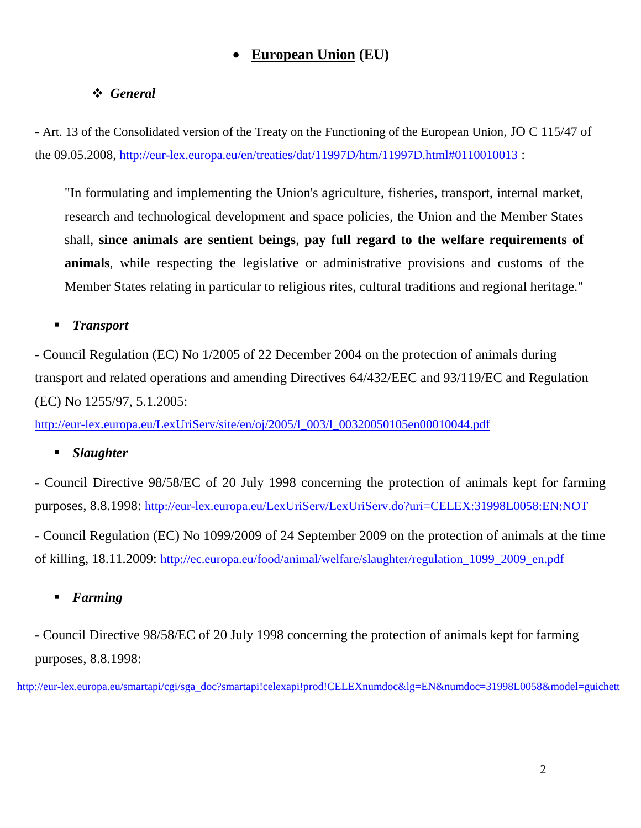## **European Union (EU)**

### *General*

- Art. 13 of the Consolidated version of the Treaty on the Functioning of the European Union, JO C 115/47 of the 09.05.2008, <http://eur-lex.europa.eu/en/treaties/dat/11997D/htm/11997D.html#0110010013> :

"In formulating and implementing the Union's agriculture, fisheries, transport, internal market, research and technological development and space policies, the Union and the Member States shall, **since animals are sentient beings**, **pay full regard to the welfare requirements of animals**, while respecting the legislative or administrative provisions and customs of the Member States relating in particular to religious rites, cultural traditions and regional heritage."

#### *Transport*

**-** Council Regulation (EC) No 1/2005 of 22 December 2004 on the protection of animals during transport and related operations and amending Directives 64/432/EEC and 93/119/EC and Regulation (EC) No 1255/97, 5.1.2005:

[http://eur-lex.europa.eu/LexUriServ/site/en/oj/2005/l\\_003/l\\_00320050105en00010044.pdf](http://eur-lex.europa.eu/LexUriServ/site/en/oj/2005/l_003/l_00320050105en00010044.pdf)

#### *Slaughter*

**-** Council Directive 98/58/EC of 20 July 1998 concerning the protection of animals kept for farming purposes, 8.8.1998: <http://eur-lex.europa.eu/LexUriServ/LexUriServ.do?uri=CELEX:31998L0058:EN:NOT>

**-** Council Regulation (EC) No 1099/2009 of 24 September 2009 on the protection of animals at the time of killing, 18.11.2009: [http://ec.europa.eu/food/animal/welfare/slaughter/regulation\\_1099\\_2009\\_en.pdf](http://ec.europa.eu/food/animal/welfare/slaughter/regulation_1099_2009_en.pdf)

### *Farming*

**-** Council Directive 98/58/EC of 20 July 1998 concerning the protection of animals kept for farming purposes, 8.8.1998:

[http://eur-lex.europa.eu/smartapi/cgi/sga\\_doc?smartapi!celexapi!prod!CELEXnumdoc&lg=EN&numdoc=31998L0058&model=guichett](http://eur-lex.europa.eu/smartapi/cgi/sga_doc?smartapi!celexapi!prod!CELEXnumdoc&lg=EN&numdoc=31998L0058&model=guichett)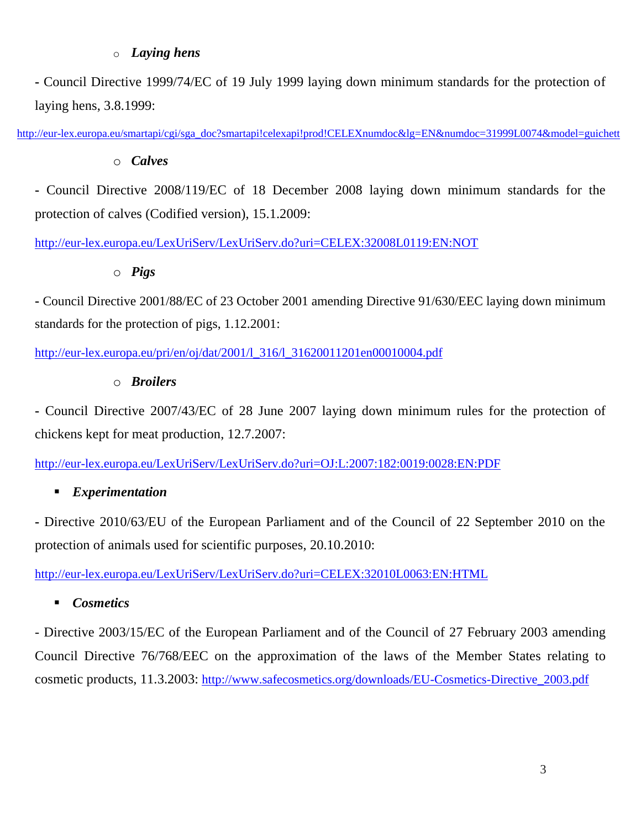#### o *Laying hens*

**-** Council Directive 1999/74/EC of 19 July 1999 laying down minimum standards for the protection of laying hens, 3.8.1999:

[http://eur-lex.europa.eu/smartapi/cgi/sga\\_doc?smartapi!celexapi!prod!CELEXnumdoc&lg=EN&numdoc=31999L0074&model=guichett](http://eur-lex.europa.eu/smartapi/cgi/sga_doc?smartapi!celexapi!prod!CELEXnumdoc&lg=EN&numdoc=31999L0074&model=guichett)

o *Calves*

**-** Council Directive 2008/119/EC of 18 December 2008 laying down minimum standards for the protection of calves (Codified version), 15.1.2009:

<http://eur-lex.europa.eu/LexUriServ/LexUriServ.do?uri=CELEX:32008L0119:EN:NOT>

#### o *Pigs*

**-** Council Directive 2001/88/EC of 23 October 2001 amending Directive 91/630/EEC laying down minimum standards for the protection of pigs, 1.12.2001:

[http://eur-lex.europa.eu/pri/en/oj/dat/2001/l\\_316/l\\_31620011201en00010004.pdf](http://eur-lex.europa.eu/pri/en/oj/dat/2001/l_316/l_31620011201en00010004.pdf)

#### o *Broilers*

**-** Council Directive 2007/43/EC of 28 June 2007 laying down minimum rules for the protection of chickens kept for meat production, 12.7.2007:

<http://eur-lex.europa.eu/LexUriServ/LexUriServ.do?uri=OJ:L:2007:182:0019:0028:EN:PDF>

#### *Experimentation*

**-** Directive 2010/63/EU of the European Parliament and of the Council of 22 September 2010 on the protection of animals used for scientific purposes, 20.10.2010:

<http://eur-lex.europa.eu/LexUriServ/LexUriServ.do?uri=CELEX:32010L0063:EN:HTML>

#### *Cosmetics*

- Directive 2003/15/EC of the European Parliament and of the Council of 27 February 2003 amending Council Directive 76/768/EEC on the approximation of the laws of the Member States relating to cosmetic products, 11.3.2003: [http://www.safecosmetics.org/downloads/EU-Cosmetics-Directive\\_2003.pdf](http://www.safecosmetics.org/downloads/EU-Cosmetics-Directive_2003.pdf)